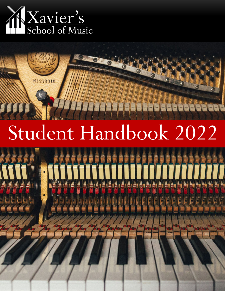

316

# Student Handbook 2022

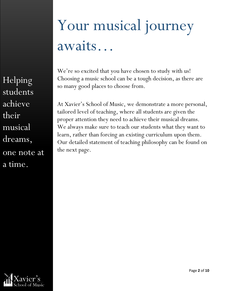Helping students achieve their musical dreams, one note at a time.

## Your musical journey awaits…

We're so excited that you have chosen to study with us! Choosing a music school can be a tough decision, as there are so many good places to choose from.

At Xavier's School of Music, we demonstrate a more personal, tailored level of teaching, where all students are given the proper attention they need to achieve their musical dreams. We always make sure to teach our students what they want to learn, rather than forcing an existing curriculum upon them. Our detailed statement of teaching philosophy can be found on the next page.

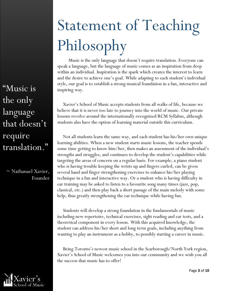"Music is the only language that doesn't require translation."

 $\sim$  Nathanael Xavier, Founder

## Statement of Teaching Philosophy

Music is the only language that doesn't require translation. Everyone can speak a language, but the language of music comes as an inspiration from deep within an individual. Inspiration is the spark which creates the interest to learn and the desire to achieve one's goal. While adapting to each student's individual style, our goal is to establish a strong musical foundation in a fun, interactive and inspiring way.

Xavier's School of Music accepts students from all walks of life, because we believe that it is never too late to journey into the world of music. Our private lessons revolve around the internationally-recognized RCM Syllabus, although students also have the option of learning material outside this curriculum.

Not all students learn the same way, and each student has his/her own unique learning abilities. When a new student starts music lessons, the teacher spends some time getting to know him/her, then makes an assessment of the individual's strengths and struggles, and continues to develop the student's capabilities while targeting the areas of concern on a regular basis. For example, a piano student who is having trouble keeping the wrists up and fingers curled, can be given several hand and finger strengthening exercises to enhance his/her playing technique in a fun and interactive way. Or a student who is having difficulty in ear training may be asked to listen to a favourite song many times (jazz, pop, classical, etc.) and then play back a short passage of the main melody with some help, thus greatly strengthening the ear technique while having fun.

Students will develop a strong foundation in the fundamentals of music including new repertoire, technical exercises, sight reading and ear tests, and a theoretical component in every lesson. With this acquired knowledge, the student can address his/her short and long term goals, including anything from wanting to play an instrument as a hobby, to possibly starting a career in music.

Being Toronto's newest music school in the Scarborough/North York region, Xavier's School of Music welcomes you into our community and we wish you all the success that music has to offer!

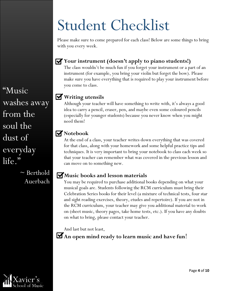## Student Checklist

Please make sure to come prepared for each class! Below are some things to bring with you every week.

#### **Your instrument (doesn't apply to piano students!)**

The class wouldn't be much fun if you forget your instrument or a part of an instrument (for example, you bring your violin but forget the bow). Please make sure you have everything that is required to play your instrument before you come to class.

#### **Writing utensils**

Although your teacher will have something to write with, it's always a good idea to carry a pencil, eraser, pen, and maybe even some coloured pencils (especially for younger students) because you never know when you might need them!

#### **Notebook**

At the end of a class, your teacher writes down everything that was covered for that class, along with your homework and some helpful practice tips and techniques. It is very important to bring your notebook to class each week so that your teacher can remember what was covered in the previous lesson and can move on to something new.

#### **Music books and lesson materials**

You may be required to purchase additional books depending on what your musical goals are. Students following the RCM curriculum must bring their Celebration Series books for their level (a mixture of technical tests, four star and sight reading exercises, theory, etudes and repertoire). If you are not in the RCM curriculum, your teacher may give you additional material to work on (sheet music, theory pages, take home tests, etc.). If you have any doubts on what to bring, please contact your teacher.

And last but not least,

**An open mind ready to learn music and have fun**!

"Music washes away from the soul the dust of everyday life."

> $\sim$  Berthold Auerbach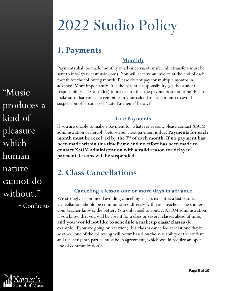## 2022 Studio Policy

### **1. Payments**

#### **Monthly**

Payments shall be made monthly in advance via etransfer (all etransfers must be sent to info $(\alpha)$ xaviersmusic.com). You will receive an invoice at the end of each month for the following month. Please do not pay for multiple months in advance. More importantly, it is the parent's responsibility (or the student's responsibility if 18 or older) to make sure that the payments are on time. Please make sure that you set a reminder in your calendars each month to avoid suspension of lessons (see "Late Payments" below).

#### **Late Payments**

If you are unable to make a payment for whatever reason, please contact XSOM administration preferably before your next payment is due. **Payments for each**  month must be received by the 7<sup>th</sup> of each month. If no payment has **been made within this timeframe and no effort has been made to contact XSOM administration with a valid reason for delayed payment, lessons will be suspended.** 

### **2. Class Cancellations**

#### **Canceling a lesson one or more days in advance**

We strongly recommend avoiding cancelling a class except as a last resort. Cancellations should be communicated directly with your teacher. The sooner your teacher knows, the better. You only need to contact XSOM administration if you know that you will be absent for a class or several classes ahead of time, **and you would not like to schedule a makeup class/classes** (for example, if you are going on vacation). If a class is cancelled at least one day in advance, one of the following will occur based on the availability of the student and teacher (both parties must be in agreement, which would require an open line of communication):

"Music produces a kind of pleasure which human nature cannot do without."

 $\sim$  Confucius

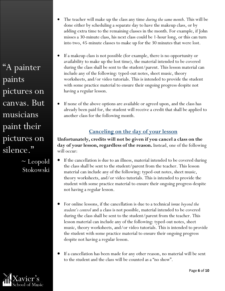"A painter paints pictures on canvas. But musicians paint their pictures on silence."

> ~ Leopold Stokowski

- The teacher will make up the class any time *during the same month*. This will be done either by scheduling a separate day to have the makeup class, or by adding extra time to the remaining classes in the month. For example, if John misses a 30-minute class, his next class could be 1-hour long, or this can turn into two, 45-minute classes to make up for the 30 minutes that were lost.
- If a makeup class is not possible (for example, there is no opportunity or availability to make up the lost time), the material intended to be covered during the class shall be sent to the student/parent. This lesson material can include any of the following: typed-out notes, sheet music, theory worksheets, and/or video tutorials. This is intended to provide the student with some practice material to ensure their ongoing progress despite not having a regular lesson.
- If none of the above options are available or agreed upon, and the class has already been paid for, the student will receive a credit that shall be applied to another class for the following month.

#### **Canceling on the day of your lesson**

**Unfortunately, credits will not be given if you cancel a class on the day of your lesson, regardless of the reason.** Instead, one of the following will occur:

- If the cancellation is due to an illness, material intended to be covered during the class shall be sent to the student/parent from the teacher. This lesson material can include any of the following: typed-out notes, sheet music, theory worksheets, and/or video tutorials. This is intended to provide the student with some practice material to ensure their ongoing progress despite not having a regular lesson.
- For online lessons, if the cancellation is due to a technical issue *beyond the student's control* and a class is not possible, material intended to be covered during the class shall be sent to the student/parent from the teacher. This lesson material can include any of the following: typed-out notes, sheet music, theory worksheets, and/or video tutorials. This is intended to provide the student with some practice material to ensure their ongoing progress despite not having a regular lesson.
- If a cancellation has been made for any other reason, no material will be sent to the student and the class will be counted as a "no show".

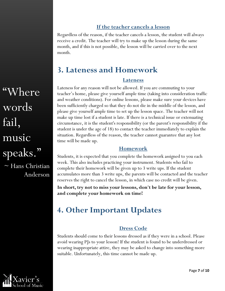#### **If the teacher cancels a lesson**

Regardless of the reason, if the teacher cancels a lesson, the student will always receive a credit. The teacher will try to make up the lesson during the same month, and if this is not possible, the lesson will be carried over to the next month.

### **3. Lateness and Homework**

#### **Lateness**

Lateness for any reason will not be allowed. If you are commuting to your teacher's home, please give yourself ample time (taking into consideration traffic and weather conditions). For online lessons, please make sure your devices have been sufficiently charged so that they do not die in the middle of the lesson, and please give yourself ample time to set up the lesson space. The teacher will not make up time lost if a student is late. If there is a technical issue or extenuating circumstance, it is the student's responsibility (or the parent's responsibility if the student is under the age of 18) to contact the teacher immediately to explain the situation. Regardless of the reason, the teacher cannot guarantee that any lost time will be made up.

#### **Homework**

Students, it is expected that you complete the homework assigned to you each week. This also includes practicing your instrument. Students who fail to complete their homework will be given up to 3 write ups. If the student accumulates more than 3 write ups, the parents will be contacted and the teacher reserves the right to cancel the lesson, in which case no credit will be given.

**In short, try not to miss your lessons, don't be late for your lesson, and complete your homework on time!**

### **4. Other Important Updates**

#### **Dress Code**

Students should come to their lessons dressed as if they were in a school. Please avoid wearing PJs to your lesson! If the student is found to be underdressed or wearing inappropriate attire, they may be asked to change into something more suitable. Unfortunately, this time cannot be made up.

"Where words fail, music speaks."  $\sim$  Hans Christian Anderson

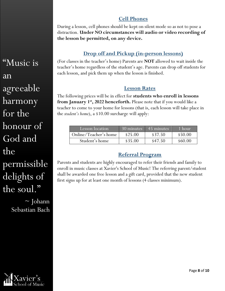#### **Cell Phones**

During a lesson, cell phones should be kept on silent mode so as not to pose a distraction. **Under NO circumstances will audio or video recording of the lesson be permitted, on any device.**

#### **Drop off and Pickup (in-person lessons)**

(For classes in the teacher's home) Parents are **NOT** allowed to wait inside the teacher's home regardless of the student's age. Parents can drop off students for each lesson, and pick them up when the lesson is finished.

#### **Lesson Rates**

The following prices will be in effect for **students who enroll in lessons from January 1<sup>st</sup>, 2022 henceforth.** Please note that if you would like a teacher to come to your home for lessons (that is, each lesson will take place in the *student's home*), a \$10.00 surcharge will apply:

| Lesson location       | $30 \overline{\text{minutes}}$ | $\overline{45}$ minutes | $\sqrt{1}$ hour |
|-----------------------|--------------------------------|-------------------------|-----------------|
| Online/Teacher's home | \$25.00                        | \$37.50                 | \$50.00         |
| Student's home        | \$35.00                        | \$47.50                 | \$60.00         |

#### **Referral Program**

Parents and students are highly encouraged to refer their friends and family to enroll in music classes at Xavier's School of Music! The referring parent/student shall be awarded one free lesson and a gift card, provided that the new student first signs up for at least one month of lessons (4 classes minimum).

"Music is an agreeable harmony for the honour of God and the permissible delights of the soul."  $\sim$  Johann Sebastian Bach

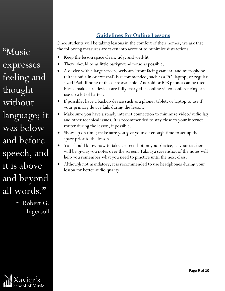#### **Guidelines for Online Lessons**

Since students will be taking lessons in the comfort of their homes, we ask that the following measures are taken into account to minimize distractions:

- Keep the lesson space clean, tidy, and well-lit
- There should be as little background noise as possible.
- A device with a large screen, webcam/front facing camera, and microphone (either built-in or external) is recommended, such as a PC, laptop, or regularsized iPad. If none of these are available, Android or iOS phones can be used. Please make sure devices are fully charged, as online video conferencing can use up a lot of battery.
- If possible, have a backup device such as a phone, tablet, or laptop to use if your primary device fails during the lesson.
- Make sure you have a steady internet connection to minimize video/audio lag and other technical issues. It is recommended to stay close to your internet router during the lesson, if possible.
- Show up on time; make sure you give yourself enough time to set up the space prior to the lesson.
- You should know how to take a screenshot on your device, as your teacher will be giving you notes over the screen. Taking a screenshot of the notes will help you remember what you need to practice until the next class.
- Although not mandatory, it is recommended to use headphones during your lesson for better audio quality.

"Music expresses feeling and thought without language; it was below and before speech, and it is above and beyond all words."

> ~ Robert G. Ingersoll